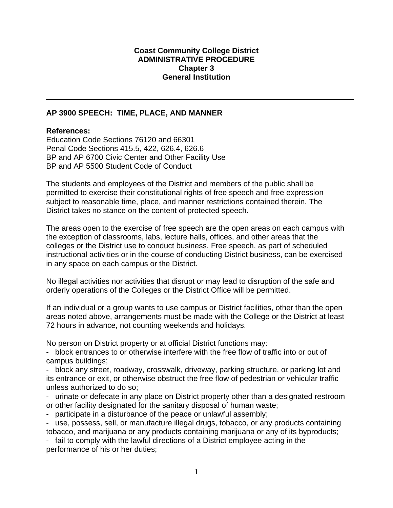#### **Coast Community College District ADMINISTRATIVE PROCEDURE Chapter 3 General Institution**

## **AP 3900 SPEECH: TIME, PLACE, AND MANNER**

#### **References:**

Education Code Sections 76120 and 66301 Penal Code Sections 415.5, 422, 626.4, 626.6 BP and AP 6700 Civic Center and Other Facility Use BP and AP 5500 Student Code of Conduct

The students and employees of the District and members of the public shall be permitted to exercise their constitutional rights of free speech and free expression subject to reasonable time, place, and manner restrictions contained therein. The District takes no stance on the content of protected speech.

The areas open to the exercise of free speech are the open areas on each campus with the exception of classrooms, labs, lecture halls, offices, and other areas that the colleges or the District use to conduct business. Free speech, as part of scheduled instructional activities or in the course of conducting District business, can be exercised in any space on each campus or the District.

No illegal activities nor activities that disrupt or may lead to disruption of the safe and orderly operations of the Colleges or the District Office will be permitted.

If an individual or a group wants to use campus or District facilities, other than the open areas noted above, arrangements must be made with the College or the District at least 72 hours in advance, not counting weekends and holidays.

No person on District property or at official District functions may:

- block entrances to or otherwise interfere with the free flow of traffic into or out of campus buildings;

- block any street, roadway, crosswalk, driveway, parking structure, or parking lot and its entrance or exit, or otherwise obstruct the free flow of pedestrian or vehicular traffic unless authorized to do so;

- urinate or defecate in any place on District property other than a designated restroom or other facility designated for the sanitary disposal of human waste;

- participate in a disturbance of the peace or unlawful assembly;

- use, possess, sell, or manufacture illegal drugs, tobacco, or any products containing tobacco, and marijuana or any products containing marijuana or any of its byproducts;

- fail to comply with the lawful directions of a District employee acting in the performance of his or her duties;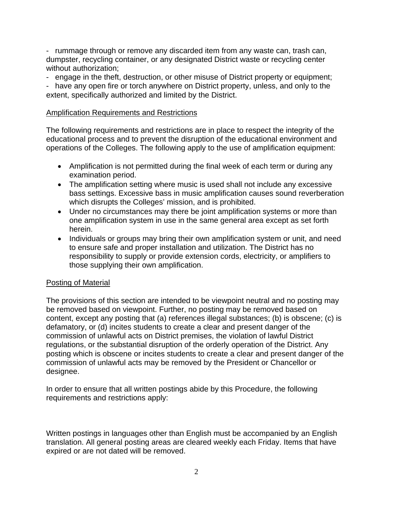- rummage through or remove any discarded item from any waste can, trash can, dumpster, recycling container, or any designated District waste or recycling center without authorization;

- engage in the theft, destruction, or other misuse of District property or equipment;

- have any open fire or torch anywhere on District property, unless, and only to the extent, specifically authorized and limited by the District.

## Amplification Requirements and Restrictions

The following requirements and restrictions are in place to respect the integrity of the educational process and to prevent the disruption of the educational environment and operations of the Colleges. The following apply to the use of amplification equipment:

- Amplification is not permitted during the final week of each term or during any examination period.
- The amplification setting where music is used shall not include any excessive bass settings. Excessive bass in music amplification causes sound reverberation which disrupts the Colleges' mission, and is prohibited.
- Under no circumstances may there be joint amplification systems or more than one amplification system in use in the same general area except as set forth herein.
- Individuals or groups may bring their own amplification system or unit, and need to ensure safe and proper installation and utilization. The District has no responsibility to supply or provide extension cords, electricity, or amplifiers to those supplying their own amplification.

# Posting of Material

The provisions of this section are intended to be viewpoint neutral and no posting may be removed based on viewpoint. Further, no posting may be removed based on content, except any posting that (a) references illegal substances; (b) is obscene; (c) is defamatory, or (d) incites students to create a clear and present danger of the commission of unlawful acts on District premises, the violation of lawful District regulations, or the substantial disruption of the orderly operation of the District. Any posting which is obscene or incites students to create a clear and present danger of the commission of unlawful acts may be removed by the President or Chancellor or designee.

In order to ensure that all written postings abide by this Procedure, the following requirements and restrictions apply:

Written postings in languages other than English must be accompanied by an English translation. All general posting areas are cleared weekly each Friday. Items that have expired or are not dated will be removed.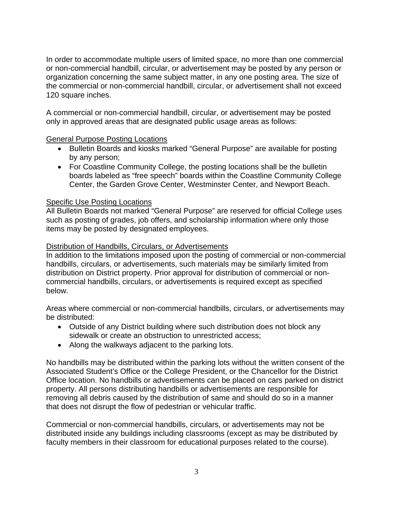In order to accommodate multiple users of limited space, no more than one commercial or non-commercial handbill, circular, or advertisement may be posted by any person or organization concerning the same subject matter, in any one posting area. The size of the commercial or non-commercial handbill, circular, or advertisement shall not exceed 120 square inches.

A commercial or non-commercial handbill, circular, or advertisement may be posted only in approved areas that are designated public usage areas as follows:

# General Purpose Posting Locations

- Bulletin Boards and kiosks marked "General Purpose" are available for posting by any person;
- For Coastline Community College, the posting locations shall be the bulletin boards labeled as "free speech" boards within the Coastline Community College Center, the Garden Grove Center, Westminster Center, and Newport Beach.

# Specific Use Posting Locations

All Bulletin Boards not marked "General Purpose" are reserved for official College uses such as posting of grades, job offers, and scholarship information where only those items may be posted by designated employees.

## Distribution of Handbills, Circulars, or Advertisements

In addition to the limitations imposed upon the posting of commercial or non-commercial handbills, circulars, or advertisements, such materials may be similarly limited from distribution on District property. Prior approval for distribution of commercial or noncommercial handbills, circulars, or advertisements is required except as specified below.

Areas where commercial or non-commercial handbills, circulars, or advertisements may be distributed:

- Outside of any District building where such distribution does not block any sidewalk or create an obstruction to unrestricted access;
- Along the walkways adjacent to the parking lots.

No handbills may be distributed within the parking lots without the written consent of the Associated Student's Office or the College President, or the Chancellor for the District Office location. No handbills or advertisements can be placed on cars parked on district property. All persons distributing handbills or advertisements are responsible for removing all debris caused by the distribution of same and should do so in a manner that does not disrupt the flow of pedestrian or vehicular traffic.

Commercial or non-commercial handbills, circulars, or advertisements may not be distributed inside any buildings including classrooms (except as may be distributed by faculty members in their classroom for educational purposes related to the course).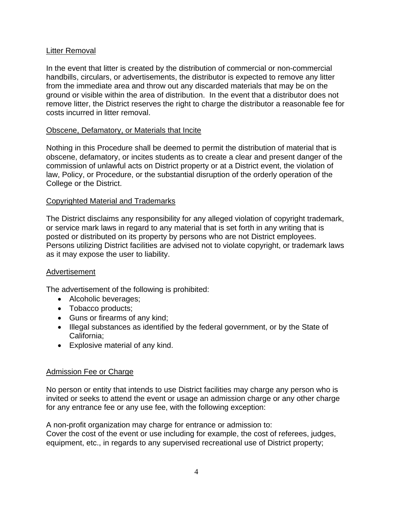# Litter Removal

In the event that litter is created by the distribution of commercial or non-commercial handbills, circulars, or advertisements, the distributor is expected to remove any litter from the immediate area and throw out any discarded materials that may be on the ground or visible within the area of distribution. In the event that a distributor does not remove litter, the District reserves the right to charge the distributor a reasonable fee for costs incurred in litter removal.

# Obscene, Defamatory, or Materials that Incite

Nothing in this Procedure shall be deemed to permit the distribution of material that is obscene, defamatory, or incites students as to create a clear and present danger of the commission of unlawful acts on District property or at a District event, the violation of law, Policy, or Procedure, or the substantial disruption of the orderly operation of the College or the District.

## Copyrighted Material and Trademarks

The District disclaims any responsibility for any alleged violation of copyright trademark, or service mark laws in regard to any material that is set forth in any writing that is posted or distributed on its property by persons who are not District employees. Persons utilizing District facilities are advised not to violate copyright, or trademark laws as it may expose the user to liability.

## Advertisement

The advertisement of the following is prohibited:

- Alcoholic beverages;
- Tobacco products;
- Guns or firearms of any kind;
- Illegal substances as identified by the federal government, or by the State of California;
- Explosive material of any kind.

## Admission Fee or Charge

No person or entity that intends to use District facilities may charge any person who is invited or seeks to attend the event or usage an admission charge or any other charge for any entrance fee or any use fee, with the following exception:

A non-profit organization may charge for entrance or admission to: Cover the cost of the event or use including for example, the cost of referees, judges, equipment, etc., in regards to any supervised recreational use of District property;